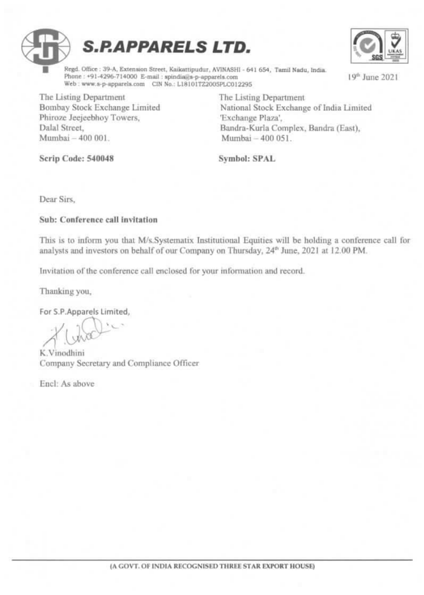



19th June 2021

Regd. Office: 39-A, Extension Street, Kaikattipudur, AVINASHI - 641 654, Tamil Nadu, India. Phone: +91-4296-714000 E-mail: spindia@s-p-apparels.com Web: www.s-p-apparels.com CIN No.: L18101TZ2005PLC012295

The Listing Department Bombay Stock Exchange Limited Phiroze Jeejeebhoy Towers, Dalal Street, Mumbai - 400 001.

The Listing Department National Stock Exchange of India Limited Exchange Plaza', Bandra-Kurla Complex, Bandra (East), Mumbai - 400 051.

Scrip Code: 540048

Symbol: SPAL

Dear Sirs.

Sub: Conference call invitation

This is to inform you that M/s.Systematix Institutional Equities will be holding a conference call for analysts and investors on behalf of our Company on Thursday, 24<sup>th</sup> June, 2021 at 12.00 PM.

Invitation of the conference call enclosed for your information and record.

Thanking you,

For S.P.Apparels Limited.

K. Vinodhini Company Secretary and Compliance Officer

Encl: As above